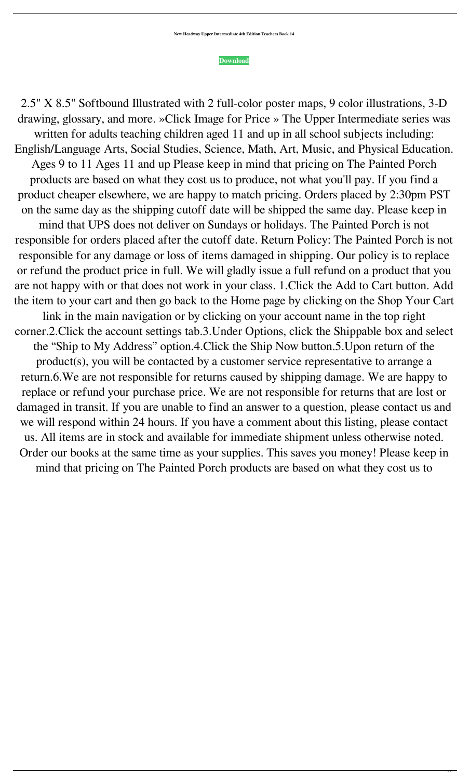**New Headway Upper Intermediate 4th Edition Teachers Book 14**

## **[Download](http://evacdir.com/grillmasters.assisting.TmV3IEhlYWR3YXkgVXBwZXIgSW50ZXJtZWRpYXRlIDR0aCBFZGl0aW9uIFRlYWNoZXJzIEJvb2sgMTQTmV/barcode/harlem.salazar?christine=ZG93bmxvYWR8UlE2TW5SMGNueDhNVFkxTWpRMk16QTFNSHg4TWpVM05IeDhLRTBwSUhKbFlXUXRZbXh2WnlCYlJtRnpkQ0JIUlU1ZA)**

2.5" X 8.5" Softbound Illustrated with 2 full-color poster maps, 9 color illustrations, 3-D drawing, glossary, and more. »Click Image for Price » The Upper Intermediate series was written for adults teaching children aged 11 and up in all school subjects including: English/Language Arts, Social Studies, Science, Math, Art, Music, and Physical Education. Ages 9 to 11 Ages 11 and up Please keep in mind that pricing on The Painted Porch products are based on what they cost us to produce, not what you'll pay. If you find a product cheaper elsewhere, we are happy to match pricing. Orders placed by 2:30pm PST on the same day as the shipping cutoff date will be shipped the same day. Please keep in mind that UPS does not deliver on Sundays or holidays. The Painted Porch is not responsible for orders placed after the cutoff date. Return Policy: The Painted Porch is not responsible for any damage or loss of items damaged in shipping. Our policy is to replace or refund the product price in full. We will gladly issue a full refund on a product that you are not happy with or that does not work in your class. 1.Click the Add to Cart button. Add the item to your cart and then go back to the Home page by clicking on the Shop Your Cart link in the main navigation or by clicking on your account name in the top right corner.2.Click the account settings tab.3.Under Options, click the Shippable box and select the "Ship to My Address" option.4.Click the Ship Now button.5.Upon return of the product(s), you will be contacted by a customer service representative to arrange a return.6.We are not responsible for returns caused by shipping damage. We are happy to replace or refund your purchase price. We are not responsible for returns that are lost or damaged in transit. If you are unable to find an answer to a question, please contact us and we will respond within 24 hours. If you have a comment about this listing, please contact us. All items are in stock and available for immediate shipment unless otherwise noted. Order our books at the same time as your supplies. This saves you money! Please keep in mind that pricing on The Painted Porch products are based on what they cost us to